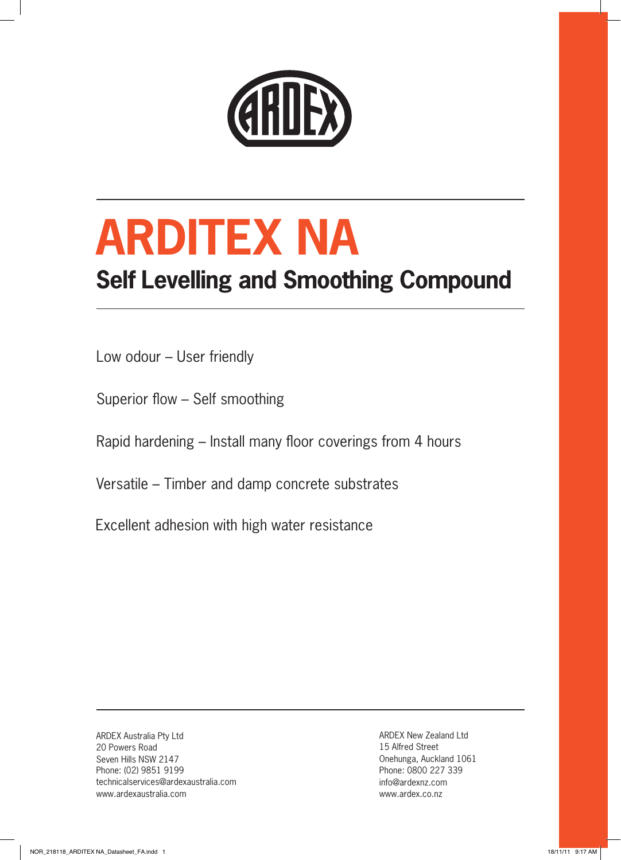

# **ARDITEX NA**

### **Self Levelling and Smoothing Compound**

Low odour – User friendly

Superior flow – Self smoothing

Rapid hardening – Install many floor coverings from 4 hours

Versatile – Timber and damp concrete substrates

Excellent adhesion with high water resistance

ARDEX Australia Pty Ltd 20 Powers Road Seven Hills NSW 2147 Phone: (02) 9851 9199 technicalservices@ardexaustralia.com www.ardexaustralia.com

ARDEX New Zealand Ltd 15 Alfred Street Onehunga, Auckland 1061 Phone: 0800 227 339 info@ardexnz.com www.ardex.co.nz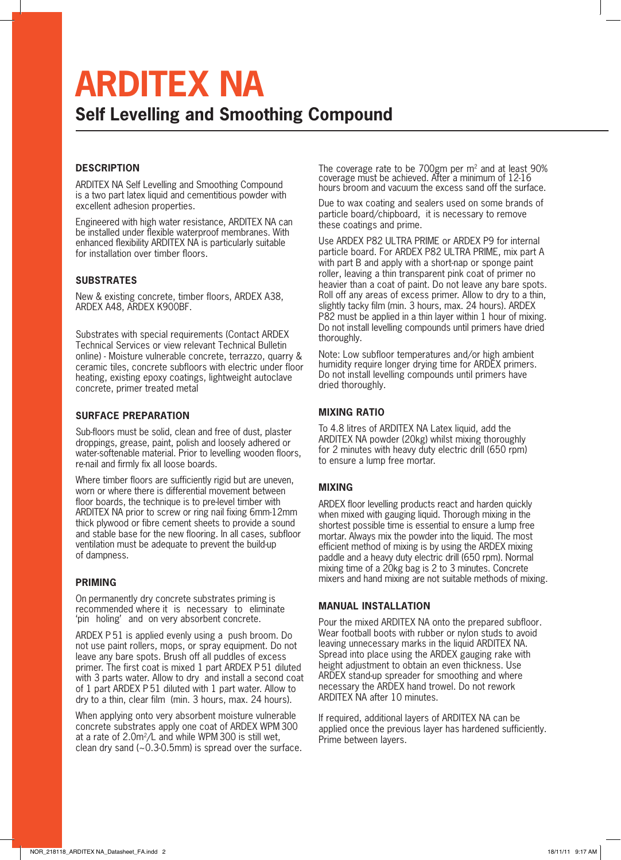## **ARDITEX NA**

#### **Self Levelling and Smoothing Compound**

#### **DESCRIPTION**

ARDITEX NA Self Levelling and Smoothing Compound is a two part latex liquid and cementitious powder with excellent adhesion properties.

Engineered with high water resistance, ARDITEX NA can be installed under flexible waterproof membranes. With enhanced flexibility ARDITEX NA is particularly suitable for installation over timber floors.

#### **SUBSTRATES**

New & existing concrete, timber floors, ARDEX A38, ARDEX A48, ARDEX K900BF.

Substrates with special requirements (Contact ARDEX Technical Services or view relevant Technical Bulletin online) - Moisture vulnerable concrete, terrazzo, quarry & ceramic tiles, concrete subfloors with electric under floor heating, existing epoxy coatings, lightweight autoclave concrete, primer treated metal

#### **SURFACE PREPARATION**

Sub-floors must be solid, clean and free of dust, plaster droppings, grease, paint, polish and loosely adhered or water-softenable material. Prior to levelling wooden floors, re-nail and firmly fix all loose boards.

Where timber floors are sufficiently rigid but are uneven, worn or where there is differential movement between floor boards, the technique is to pre-level timber with ARDITEX NA prior to screw or ring nail fixing 6mm-12mm thick plywood or fibre cement sheets to provide a sound and stable base for the new flooring. In all cases, subfloor ventilation must be adequate to prevent the build-up of dampness.

#### **PRIMING**

On permanently dry concrete substrates priming is recommended where it is necessary to eliminate 'pin holing' and on very absorbent concrete.

ARDEX P 51 is applied evenly using a push broom. Do not use paint rollers, mops, or spray equipment. Do not leave any bare spots. Brush off all puddles of excess primer. The first coat is mixed 1 part ARDEX P 51 diluted with 3 parts water. Allow to dry and install a second coat of 1 part ARDEX P 51 diluted with 1 part water. Allow to dry to a thin, clear film (min. 3 hours, max. 24 hours).

When applying onto very absorbent moisture vulnerable concrete substrates apply one coat of ARDEX WPM 300 at a rate of 2.0m<sup>2</sup> /L and while WPM 300 is still wet, clean dry sand (~0.3-0.5mm) is spread over the surface. The coverage rate to be  $700gm$  per  $m<sup>2</sup>$  and at least  $90%$ coverage must be achieved. After a minimum of 12-16 hours broom and vacuum the excess sand off the surface.

Due to wax coating and sealers used on some brands of particle board/chipboard, it is necessary to remove these coatings and prime.

Use ARDEX P82 ULTRA PRIME or ARDEX P9 for internal particle board. For ARDEX P82 ULTRA PRIME, mix part A with part B and apply with a short-nap or sponge paint roller, leaving a thin transparent pink coat of primer no heavier than a coat of paint. Do not leave any bare spots. Roll off any areas of excess primer. Allow to dry to a thin, slightly tacky film (min. 3 hours, max. 24 hours). ARDEX P82 must be applied in a thin layer within 1 hour of mixing. Do not install levelling compounds until primers have dried thoroughly.

Note: Low subfloor temperatures and/or high ambient humidity require longer drying time for ARDEX primers. Do not install levelling compounds until primers have dried thoroughly.

#### **MIXING RATIO**

To 4.8 litres of ARDITEX NA Latex liquid, add the ARDITEX NA powder (20kg) whilst mixing thoroughly for 2 minutes with heavy duty electric drill (650 rpm) to ensure a lump free mortar.

#### **MIXING**

ARDEX floor levelling products react and harden quickly when mixed with gauging liquid. Thorough mixing in the shortest possible time is essential to ensure a lump free mortar. Always mix the powder into the liquid. The most efficient method of mixing is by using the ARDEX mixing paddle and a heavy duty electric drill (650 rpm). Normal mixing time of a 20kg bag is 2 to 3 minutes. Concrete mixers and hand mixing are not suitable methods of mixing.

#### **MANUAL INSTALLATION**

Pour the mixed ARDITEX NA onto the prepared subfloor. Wear football boots with rubber or nylon studs to avoid leaving unnecessary marks in the liquid ARDITEX NA. Spread into place using the ARDEX gauging rake with height adjustment to obtain an even thickness. Use ARDEX stand-up spreader for smoothing and where necessary the ARDEX hand trowel. Do not rework ARDITEX NA after 10 minutes.

If required, additional layers of ARDITEX NA can be applied once the previous layer has hardened sufficiently. Prime between layers.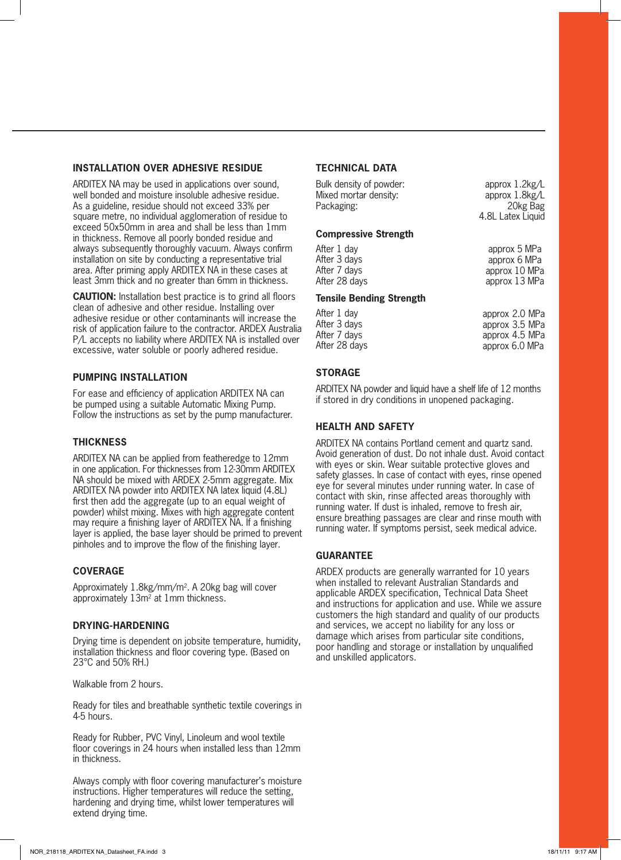#### **INSTALLATION OVER ADHESIVE RESIDUE**

ARDITEX NA may be used in applications over sound, well bonded and moisture insoluble adhesive residue. As a guideline, residue should not exceed 33% per square metre, no individual agglomeration of residue to exceed 50x50mm in area and shall be less than 1mm in thickness. Remove all poorly bonded residue and always subsequently thoroughly vacuum. Always confirm installation on site by conducting a representative trial area. After priming apply ARDITEX NA in these cases at least 3mm thick and no greater than 6mm in thickness.

**CAUTION:** Installation best practice is to grind all floors clean of adhesive and other residue. Installing over adhesive residue or other contaminants will increase the risk of application failure to the contractor. ARDEX Australia P/L accepts no liability where ARDITEX NA is installed over excessive, water soluble or poorly adhered residue.

#### **PUMPING INSTALLATION**

For ease and efficiency of application ARDITEX NA can be pumped using a suitable Automatic Mixing Pump. Follow the instructions as set by the pump manufacturer.

#### **THICKNESS**

ARDITEX NA can be applied from featheredge to 12mm in one application. For thicknesses from 12-30mm ARDITEX NA should be mixed with ARDEX 2-5mm aggregate. Mix ARDITEX NA powder into ARDITEX NA latex liquid (4.8L) first then add the aggregate (up to an equal weight of powder) whilst mixing. Mixes with high aggregate content may require a finishing layer of ARDITEX NA. If a finishing layer is applied, the base layer should be primed to prevent pinholes and to improve the flow of the finishing layer.

#### **COVERAGE**

Approximately 1.8kg/mm/m<sup>2</sup>. A 20kg bag will cover approximately 13m<sup>2</sup> at 1mm thickness.

#### **DRYING-HARDENING**

Drying time is dependent on jobsite temperature, humidity, installation thickness and floor covering type. (Based on 23°C and 50% RH.)

Walkable from 2 hours.

Ready for tiles and breathable synthetic textile coverings in 4-5 hours.

Ready for Rubber, PVC Vinyl, Linoleum and wool textile floor coverings in 24 hours when installed less than 12mm in thickness.

Always comply with floor covering manufacturer's moisture instructions. Higher temperatures will reduce the setting, hardening and drying time, whilst lower temperatures will extend drying time.

#### **TECHNICAL DATA**

| Bulk density of powder:<br>Mixed mortar density:<br>Packaging: | approx $1.2$ kg/L<br>approx $1.8$ kg/L<br>20kg Bag<br>4.8L Latex Liquid |
|----------------------------------------------------------------|-------------------------------------------------------------------------|
| <b>Compressive Strength</b>                                    |                                                                         |
| After 1 day<br>After 3 days                                    | approx 5 MPa<br>approx 6 MPa                                            |

| approx 6 MPa  |
|---------------|
| approx 10 MPa |
| approx 13 MPa |
|               |

#### **Tensile Bending Strength**

| After 1 day   | approx 2.0 MPa |
|---------------|----------------|
| After 3 days  | approx 3.5 MPa |
| After 7 days  | approx 4.5 MPa |
| After 28 days | approx 6.0 MPa |

#### **STORAGE**

ARDITEX NA powder and liquid have a shelf life of 12 months if stored in dry conditions in unopened packaging.

#### **HEALTH AND SAFETY**

ARDITEX NA contains Portland cement and quartz sand. Avoid generation of dust. Do not inhale dust. Avoid contact with eyes or skin. Wear suitable protective gloves and safety glasses. In case of contact with eyes, rinse opened eye for several minutes under running water. In case of contact with skin, rinse affected areas thoroughly with running water. If dust is inhaled, remove to fresh air, ensure breathing passages are clear and rinse mouth with running water. If symptoms persist, seek medical advice.

#### **GUARANTEE**

ARDEX products are generally warranted for 10 years when installed to relevant Australian Standards and applicable ARDEX specification, Technical Data Sheet and instructions for application and use. While we assure customers the high standard and quality of our products and services, we accept no liability for any loss or damage which arises from particular site conditions, poor handling and storage or installation by unqualified and unskilled applicators.